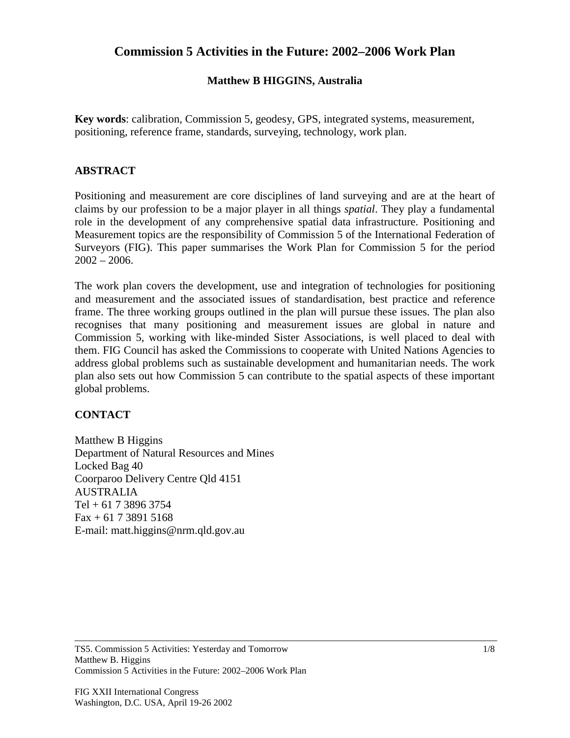## **Commission 5 Activities in the Future: 2002–2006 Work Plan**

#### **Matthew B HIGGINS, Australia**

**Key words**: calibration, Commission 5, geodesy, GPS, integrated systems, measurement, positioning, reference frame, standards, surveying, technology, work plan.

#### **ABSTRACT**

Positioning and measurement are core disciplines of land surveying and are at the heart of claims by our profession to be a major player in all things *spatial*. They play a fundamental role in the development of any comprehensive spatial data infrastructure. Positioning and Measurement topics are the responsibility of Commission 5 of the International Federation of Surveyors (FIG). This paper summarises the Work Plan for Commission 5 for the period  $2002 - 2006$ .

The work plan covers the development, use and integration of technologies for positioning and measurement and the associated issues of standardisation, best practice and reference frame. The three working groups outlined in the plan will pursue these issues. The plan also recognises that many positioning and measurement issues are global in nature and Commission 5, working with like-minded Sister Associations, is well placed to deal with them. FIG Council has asked the Commissions to cooperate with United Nations Agencies to address global problems such as sustainable development and humanitarian needs. The work plan also sets out how Commission 5 can contribute to the spatial aspects of these important global problems.

#### **CONTACT**

Matthew B Higgins Department of Natural Resources and Mines Locked Bag 40 Coorparoo Delivery Centre Qld 4151 AUSTRALIA  $Tel + 61 7 3896 3754$ Fax + 61 7 3891 5168 E-mail: matt.higgins@nrm.qld.gov.au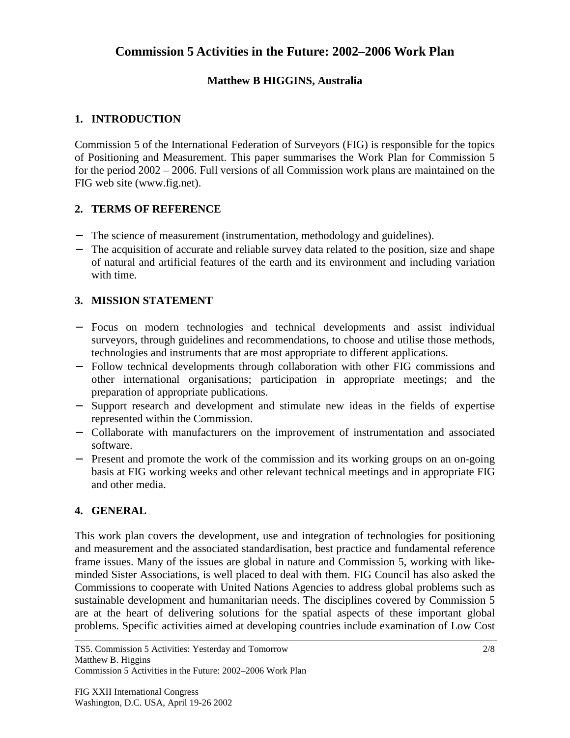# **Commission 5 Activities in the Future: 2002–2006 Work Plan**

### **Matthew B HIGGINS, Australia**

### **1. INTRODUCTION**

Commission 5 of the International Federation of Surveyors (FIG) is responsible for the topics of Positioning and Measurement. This paper summarises the Work Plan for Commission 5 for the period 2002 – 2006. Full versions of all Commission work plans are maintained on the FIG web site (www.fig.net).

### **2. TERMS OF REFERENCE**

- The science of measurement (instrumentation, methodology and guidelines).
- The acquisition of accurate and reliable survey data related to the position, size and shape of natural and artificial features of the earth and its environment and including variation with time.

### **3. MISSION STATEMENT**

- − Focus on modern technologies and technical developments and assist individual surveyors, through guidelines and recommendations, to choose and utilise those methods, technologies and instruments that are most appropriate to different applications.
- − Follow technical developments through collaboration with other FIG commissions and other international organisations; participation in appropriate meetings; and the preparation of appropriate publications.
- − Support research and development and stimulate new ideas in the fields of expertise represented within the Commission.
- − Collaborate with manufacturers on the improvement of instrumentation and associated software.
- − Present and promote the work of the commission and its working groups on an on-going basis at FIG working weeks and other relevant technical meetings and in appropriate FIG and other media.

#### **4. GENERAL**

This work plan covers the development, use and integration of technologies for positioning and measurement and the associated standardisation, best practice and fundamental reference frame issues. Many of the issues are global in nature and Commission 5, working with likeminded Sister Associations, is well placed to deal with them. FIG Council has also asked the Commissions to cooperate with United Nations Agencies to address global problems such as sustainable development and humanitarian needs. The disciplines covered by Commission 5 are at the heart of delivering solutions for the spatial aspects of these important global problems. Specific activities aimed at developing countries include examination of Low Cost

TS5. Commission 5 Activities: Yesterday and Tomorrow Matthew B. Higgins Commission 5 Activities in the Future: 2002–2006 Work Plan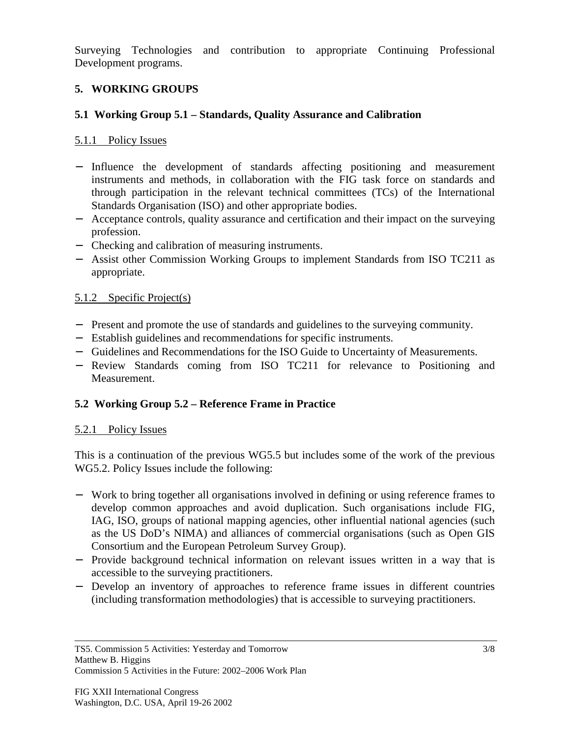Surveying Technologies and contribution to appropriate Continuing Professional Development programs.

## **5. WORKING GROUPS**

## **5.1 Working Group 5.1 – Standards, Quality Assurance and Calibration**

## 5.1.1 Policy Issues

- − Influence the development of standards affecting positioning and measurement instruments and methods, in collaboration with the FIG task force on standards and through participation in the relevant technical committees (TCs) of the International Standards Organisation (ISO) and other appropriate bodies.
- − Acceptance controls, quality assurance and certification and their impact on the surveying profession.
- − Checking and calibration of measuring instruments.
- − Assist other Commission Working Groups to implement Standards from ISO TC211 as appropriate.

## 5.1.2 Specific Project(s)

- − Present and promote the use of standards and guidelines to the surveying community.
- − Establish guidelines and recommendations for specific instruments.
- − Guidelines and Recommendations for the ISO Guide to Uncertainty of Measurements.
- − Review Standards coming from ISO TC211 for relevance to Positioning and Measurement.

# **5.2 Working Group 5.2 – Reference Frame in Practice**

## 5.2.1 Policy Issues

This is a continuation of the previous WG5.5 but includes some of the work of the previous WG5.2. Policy Issues include the following:

- − Work to bring together all organisations involved in defining or using reference frames to develop common approaches and avoid duplication. Such organisations include FIG, IAG, ISO, groups of national mapping agencies, other influential national agencies (such as the US DoD's NIMA) and alliances of commercial organisations (such as Open GIS Consortium and the European Petroleum Survey Group).
- − Provide background technical information on relevant issues written in a way that is accessible to the surveying practitioners.
- − Develop an inventory of approaches to reference frame issues in different countries (including transformation methodologies) that is accessible to surveying practitioners.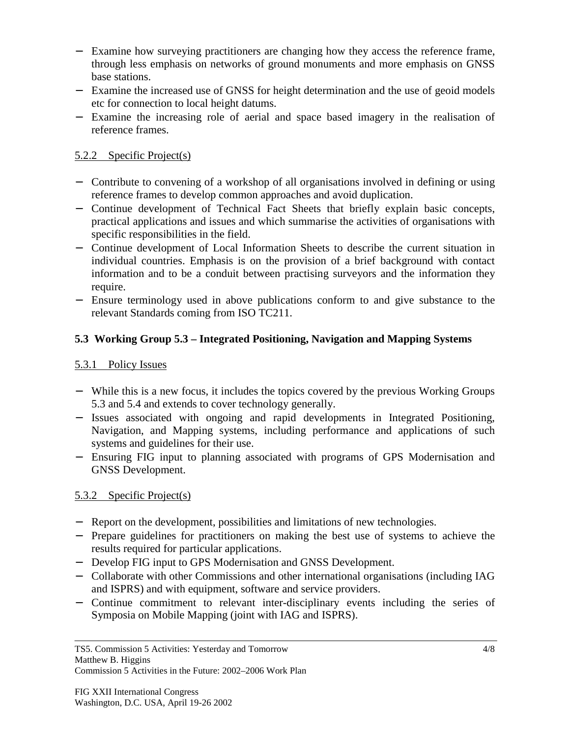- − Examine how surveying practitioners are changing how they access the reference frame, through less emphasis on networks of ground monuments and more emphasis on GNSS base stations.
- − Examine the increased use of GNSS for height determination and the use of geoid models etc for connection to local height datums.
- − Examine the increasing role of aerial and space based imagery in the realisation of reference frames.

### 5.2.2 Specific Project(s)

- − Contribute to convening of a workshop of all organisations involved in defining or using reference frames to develop common approaches and avoid duplication.
- − Continue development of Technical Fact Sheets that briefly explain basic concepts, practical applications and issues and which summarise the activities of organisations with specific responsibilities in the field.
- − Continue development of Local Information Sheets to describe the current situation in individual countries. Emphasis is on the provision of a brief background with contact information and to be a conduit between practising surveyors and the information they require.
- − Ensure terminology used in above publications conform to and give substance to the relevant Standards coming from ISO TC211.

## **5.3 Working Group 5.3 – Integrated Positioning, Navigation and Mapping Systems**

### 5.3.1 Policy Issues

- − While this is a new focus, it includes the topics covered by the previous Working Groups 5.3 and 5.4 and extends to cover technology generally.
- − Issues associated with ongoing and rapid developments in Integrated Positioning, Navigation, and Mapping systems, including performance and applications of such systems and guidelines for their use.
- − Ensuring FIG input to planning associated with programs of GPS Modernisation and GNSS Development.

## 5.3.2 Specific Project(s)

- − Report on the development, possibilities and limitations of new technologies.
- − Prepare guidelines for practitioners on making the best use of systems to achieve the results required for particular applications.
- − Develop FIG input to GPS Modernisation and GNSS Development.
- − Collaborate with other Commissions and other international organisations (including IAG and ISPRS) and with equipment, software and service providers.
- − Continue commitment to relevant inter-disciplinary events including the series of Symposia on Mobile Mapping (joint with IAG and ISPRS).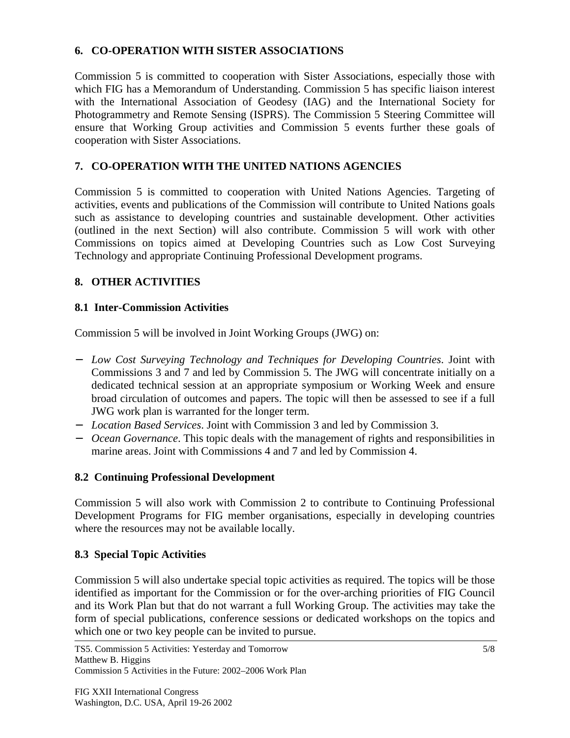### **6. CO-OPERATION WITH SISTER ASSOCIATIONS**

Commission 5 is committed to cooperation with Sister Associations, especially those with which FIG has a Memorandum of Understanding. Commission 5 has specific liaison interest with the International Association of Geodesy (IAG) and the International Society for Photogrammetry and Remote Sensing (ISPRS). The Commission 5 Steering Committee will ensure that Working Group activities and Commission 5 events further these goals of cooperation with Sister Associations.

## **7. CO-OPERATION WITH THE UNITED NATIONS AGENCIES**

Commission 5 is committed to cooperation with United Nations Agencies. Targeting of activities, events and publications of the Commission will contribute to United Nations goals such as assistance to developing countries and sustainable development. Other activities (outlined in the next Section) will also contribute. Commission 5 will work with other Commissions on topics aimed at Developing Countries such as Low Cost Surveying Technology and appropriate Continuing Professional Development programs.

# **8. OTHER ACTIVITIES**

## **8.1 Inter-Commission Activities**

Commission 5 will be involved in Joint Working Groups (JWG) on:

- − *Low Cost Surveying Technology and Techniques for Developing Countries*. Joint with Commissions 3 and 7 and led by Commission 5. The JWG will concentrate initially on a dedicated technical session at an appropriate symposium or Working Week and ensure broad circulation of outcomes and papers. The topic will then be assessed to see if a full JWG work plan is warranted for the longer term.
- − *Location Based Services*. Joint with Commission 3 and led by Commission 3.
- − *Ocean Governance*. This topic deals with the management of rights and responsibilities in marine areas. Joint with Commissions 4 and 7 and led by Commission 4.

## **8.2 Continuing Professional Development**

Commission 5 will also work with Commission 2 to contribute to Continuing Professional Development Programs for FIG member organisations, especially in developing countries where the resources may not be available locally.

## **8.3 Special Topic Activities**

Commission 5 will also undertake special topic activities as required. The topics will be those identified as important for the Commission or for the over-arching priorities of FIG Council and its Work Plan but that do not warrant a full Working Group. The activities may take the form of special publications, conference sessions or dedicated workshops on the topics and which one or two key people can be invited to pursue.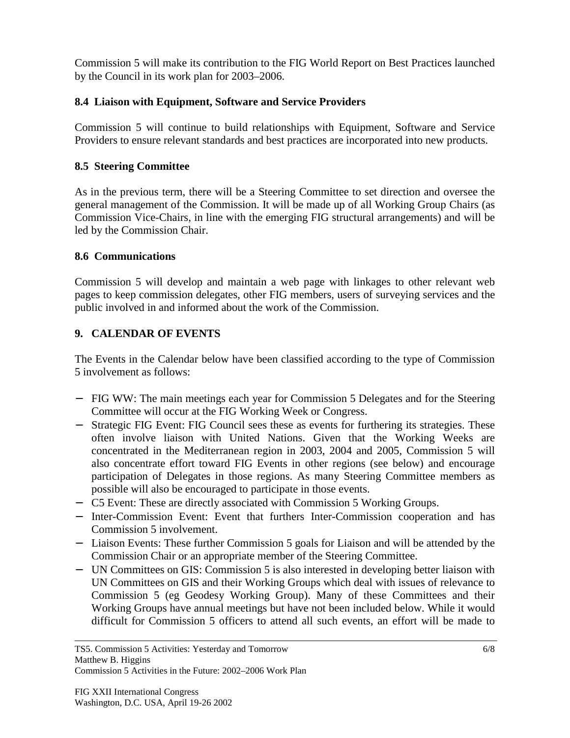Commission 5 will make its contribution to the FIG World Report on Best Practices launched by the Council in its work plan for 2003–2006.

#### **8.4 Liaison with Equipment, Software and Service Providers**

Commission 5 will continue to build relationships with Equipment, Software and Service Providers to ensure relevant standards and best practices are incorporated into new products.

#### **8.5 Steering Committee**

As in the previous term, there will be a Steering Committee to set direction and oversee the general management of the Commission. It will be made up of all Working Group Chairs (as Commission Vice-Chairs, in line with the emerging FIG structural arrangements) and will be led by the Commission Chair.

#### **8.6 Communications**

Commission 5 will develop and maintain a web page with linkages to other relevant web pages to keep commission delegates, other FIG members, users of surveying services and the public involved in and informed about the work of the Commission.

## **9. CALENDAR OF EVENTS**

The Events in the Calendar below have been classified according to the type of Commission 5 involvement as follows:

- − FIG WW: The main meetings each year for Commission 5 Delegates and for the Steering Committee will occur at the FIG Working Week or Congress.
- − Strategic FIG Event: FIG Council sees these as events for furthering its strategies. These often involve liaison with United Nations. Given that the Working Weeks are concentrated in the Mediterranean region in 2003, 2004 and 2005, Commission 5 will also concentrate effort toward FIG Events in other regions (see below) and encourage participation of Delegates in those regions. As many Steering Committee members as possible will also be encouraged to participate in those events.
- − C5 Event: These are directly associated with Commission 5 Working Groups.
- − Inter-Commission Event: Event that furthers Inter-Commission cooperation and has Commission 5 involvement.
- − Liaison Events: These further Commission 5 goals for Liaison and will be attended by the Commission Chair or an appropriate member of the Steering Committee.
- − UN Committees on GIS: Commission 5 is also interested in developing better liaison with UN Committees on GIS and their Working Groups which deal with issues of relevance to Commission 5 (eg Geodesy Working Group). Many of these Committees and their Working Groups have annual meetings but have not been included below. While it would difficult for Commission 5 officers to attend all such events, an effort will be made to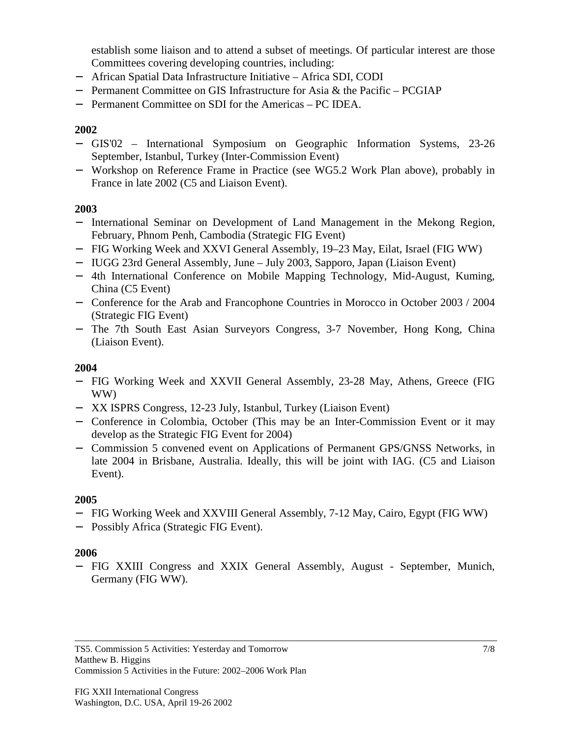establish some liaison and to attend a subset of meetings. Of particular interest are those Committees covering developing countries, including:

- − African Spatial Data Infrastructure Initiative Africa SDI, CODI
- − Permanent Committee on GIS Infrastructure for Asia & the Pacific PCGIAP
- − Permanent Committee on SDI for the Americas PC IDEA.

#### **2002**

- − GIS'02 International Symposium on Geographic Information Systems, 23-26 September, Istanbul, Turkey (Inter-Commission Event)
- − Workshop on Reference Frame in Practice (see WG5.2 Work Plan above), probably in France in late 2002 (C5 and Liaison Event).

### **2003**

- − International Seminar on Development of Land Management in the Mekong Region, February, Phnom Penh, Cambodia (Strategic FIG Event)
- − FIG Working Week and XXVI General Assembly, 19–23 May, Eilat, Israel (FIG WW)
- − IUGG 23rd General Assembly, June July 2003, Sapporo, Japan (Liaison Event)
- − 4th International Conference on Mobile Mapping Technology, Mid-August, Kuming, China (C5 Event)
- − Conference for the Arab and Francophone Countries in Morocco in October 2003 / 2004 (Strategic FIG Event)
- − The 7th South East Asian Surveyors Congress, 3-7 November, Hong Kong, China (Liaison Event).

#### **2004**

- − FIG Working Week and XXVII General Assembly, 23-28 May, Athens, Greece (FIG WW)
- − XX ISPRS Congress, 12-23 July, Istanbul, Turkey (Liaison Event)
- − Conference in Colombia, October (This may be an Inter-Commission Event or it may develop as the Strategic FIG Event for 2004)
- − Commission 5 convened event on Applications of Permanent GPS/GNSS Networks, in late 2004 in Brisbane, Australia. Ideally, this will be joint with IAG. (C5 and Liaison Event).

#### **2005**

- − FIG Working Week and XXVIII General Assembly, 7-12 May, Cairo, Egypt (FIG WW)
- − Possibly Africa (Strategic FIG Event).

#### **2006**

− FIG XXIII Congress and XXIX General Assembly, August - September, Munich, Germany (FIG WW).